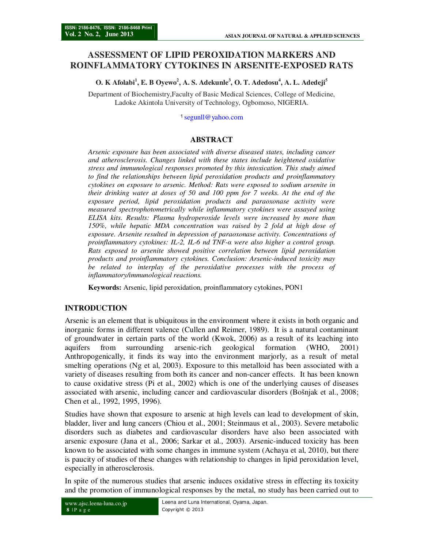# **ASSESSMENT OF LIPID PEROXIDATION MARKERS AND ROINFLAMMATORY CYTOKINES IN ARSENITE-EXPOSED RATS**

**O. K Afolabi<sup>1</sup> , E. B Oyewo<sup>2</sup> , A. S. Adekunle<sup>3</sup> , O. T. Adedosu<sup>4</sup> , A. L. Adedeji<sup>5</sup>**

Department of Biochemistry,Faculty of Basic Medical Sciences, College of Medicine, Ladoke Akintola University of Technology, Ogbomoso, NIGERIA.

<sup>1</sup>segunll@yahoo.com

## **ABSTRACT**

*Arsenic exposure has been associated with diverse diseased states, including cancer and atherosclerosis. Changes linked with these states include heightened oxidative stress and immunological responses promoted by this intoxication. This study aimed to find the relationships between lipid peroxidation products and proinflammatory cytokines on exposure to arsenic. Method: Rats were exposed to sodium arsenite in their drinking water at doses of 50 and 100 ppm for 7 weeks. At the end of the exposure period, lipid peroxidation products and paraoxonase activity were measured spectrophotometrically while inflammatory cytokines were assayed using ELISA kits. Results: Plasma hydroperoxide levels were increased by more than 150%, while hepatic MDA concentration was raised by 2 fold at high dose of exposure. Arsenite resulted in depression of paraoxonase activity. Concentrations of proinflammatory cytokines: IL-2, IL-6 nd TNF-α were also higher a control group. Rats exposed to arsenite showed positive correlation between lipid peroxidation products and proinflammatory cytokines. Conclusion: Arsenic-induced toxicity may be related to interplay of the peroxidative processes with the process of inflammatory/immunological reactions.* 

**Keywords:** Arsenic, lipid peroxidation, proinflammatory cytokines, PON1

## **INTRODUCTION**

Arsenic is an element that is ubiquitous in the environment where it exists in both organic and inorganic forms in different valence (Cullen and Reimer, 1989). It is a natural contaminant of groundwater in certain parts of the world (Kwok, 2006) as a result of its leaching into aquifers from surrounding arsenic-rich geological formation (WHO, 2001) Anthropogenically, it finds its way into the environment marjorly, as a result of metal smelting operations (Ng et al, 2003). Exposure to this metalloid has been associated with a variety of diseases resulting from both its cancer and non-cancer effects. It has been known to cause oxidative stress (Pi et al., 2002) which is one of the underlying causes of diseases associated with arsenic, including cancer and cardiovascular disorders (Bošnjak et al., 2008; Chen et al., 1992, 1995, 1996).

Studies have shown that exposure to arsenic at high levels can lead to development of skin, bladder, liver and lung cancers (Chiou et al., 2001; Steinmaus et al., 2003). Severe metabolic disorders such as diabetes and cardiovascular disorders have also been associated with arsenic exposure (Jana et al., 2006; Sarkar et al., 2003). Arsenic-induced toxicity has been known to be associated with some changes in immune system (Achaya et al, 2010), but there is paucity of studies of these changes with relationship to changes in lipid peroxidation level, especially in atherosclerosis.

In spite of the numerous studies that arsenic induces oxidative stress in effecting its toxicity and the promotion of immunological responses by the metal, no study has been carried out to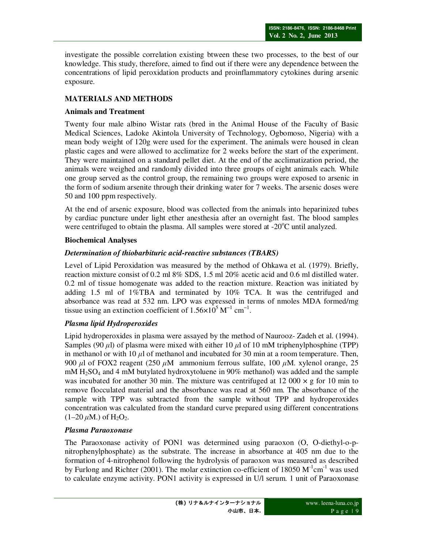investigate the possible correlation existing btween these two processes, to the best of our knowledge. This study, therefore, aimed to find out if there were any dependence between the concentrations of lipid peroxidation products and proinflammatory cytokines during arsenic exposure.

# **MATERIALS AND METHODS**

# **Animals and Treatment**

Twenty four male albino Wistar rats (bred in the Animal House of the Faculty of Basic Medical Sciences, Ladoke Akintola University of Technology, Ogbomoso, Nigeria) with a mean body weight of 120g were used for the experiment. The animals were housed in clean plastic cages and were allowed to acclimatize for 2 weeks before the start of the experiment. They were maintained on a standard pellet diet. At the end of the acclimatization period, the animals were weighed and randomly divided into three groups of eight animals each. While one group served as the control group, the remaining two groups were exposed to arsenic in the form of sodium arsenite through their drinking water for 7 weeks. The arsenic doses were 50 and 100 ppm respectively.

At the end of arsenic exposure, blood was collected from the animals into heparinized tubes by cardiac puncture under light ether anesthesia after an overnight fast. The blood samples were centrifuged to obtain the plasma. All samples were stored at  $-20^{\circ}$ C until analyzed.

## **Biochemical Analyses**

# *Determination of thiobarbituric acid-reactive substances (TBARS)*

Level of Lipid Peroxidation was measured by the method of Ohkawa et al. (1979). Briefly, reaction mixture consist of 0.2 ml 8% SDS, 1.5 ml 20% acetic acid and 0.6 ml distilled water. 0.2 ml of tissue homogenate was added to the reaction mixture. Reaction was initiated by adding 1.5 ml of 1%TBA and terminated by 10% TCA. It was the centrifuged and absorbance was read at 532 nm. LPO was expressed in terms of nmoles MDA formed/mg tissue using an extinction coefficient of  $1.56\times10^5$  M<sup>-1</sup> cm<sup>-1</sup>.

# *Plasma lipid Hydroperoxides*

Lipid hydroperoxides in plasma were assayed by the method of Naurooz- Zadeh et al. (1994). Samples (90 *µ*l) of plasma were mixed with either 10 *µ*l of 10 mM triphenylphosphine (TPP) in methanol or with 10  $\mu$ l of methanol and incubated for 30 min at a room temperature. Then, 900 *µ*l of FOX2 reagent (250 *µ*M ammonium ferrous sulfate, 100 *µ*M. xylenol orange, 25  $mM H<sub>2</sub>SO<sub>4</sub>$  and 4 mM butylated hydroxytoluene in 90% methanol) was added and the sample was incubated for another 30 min. The mixture was centrifuged at 12 000  $\times$  g for 10 min to remove flocculated material and the absorbance was read at 560 nm. The absorbance of the sample with TPP was subtracted from the sample without TPP and hydroperoxides concentration was calculated from the standard curve prepared using different concentrations  $(1-20 \mu M)$  of H<sub>2</sub>O<sub>2</sub>.

# *Plasma Paraoxonase*

The Paraoxonase activity of PON1 was determined using paraoxon (O, O-diethyl-o-pnitrophenylphosphate) as the substrate. The increase in absorbance at 405 nm due to the formation of 4-nitrophenol following the hydrolysis of paraoxon was measured as described by Furlong and Richter (2001). The molar extinction co-efficient of 18050  $M^{-1}cm^{-1}$  was used to calculate enzyme activity. PON1 activity is expressed in U/l serum. 1 unit of Paraoxonase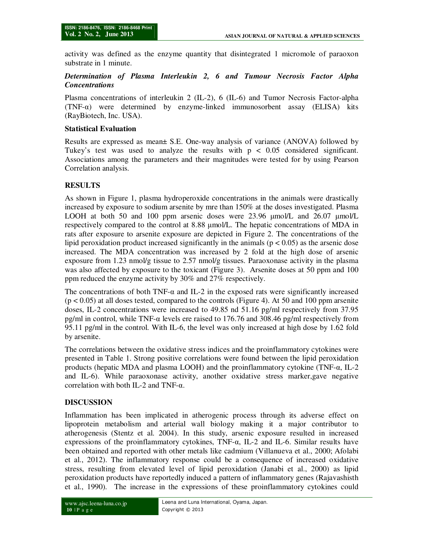activity was defined as the enzyme quantity that disintegrated 1 micromole of paraoxon substrate in 1 minute.

#### *Determination of Plasma Interleukin 2, 6 and Tumour Necrosis Factor Alpha Concentrations*

Plasma concentrations of interleukin 2 (IL-2), 6 (IL-6) and Tumor Necrosis Factor-alpha  $(TNF-\alpha)$  were determined by enzyme-linked immunosorbent assay (ELISA) kits (RayBiotech, Inc. USA).

#### **Statistical Evaluation**

Results are expressed as mean± S.E. One-way analysis of variance (ANOVA) followed by Tukey's test was used to analyze the results with  $p < 0.05$  considered significant. Associations among the parameters and their magnitudes were tested for by using Pearson Correlation analysis.

# **RESULTS**

As shown in Figure 1, plasma hydroperoxide concentrations in the animals were drastically increased by exposure to sodium arsenite by mre than 150% at the doses investigated. Plasma LOOH at both 50 and 100 ppm arsenic doses were 23.96 µmol/L and 26.07 µmol/L respectively compared to the control at 8.88 µmol/L. The hepatic concentrations of MDA in rats after exposure to arsenite exposure are depicted in Figure 2. The concentrations of the lipid peroxidation product increased significantly in the animals ( $p < 0.05$ ) as the arsenic dose increased. The MDA concentration was increased by 2 fold at the high dose of arsenic exposure from 1.23 nmol/g tissue to 2.57 nmol/g tissues. Paraoxonase activity in the plasma was also affected by exposure to the toxicant (Figure 3). Arsenite doses at 50 ppm and 100 ppm reduced the enzyme activity by 30% and 27% respectively.

The concentrations of both TNF- $\alpha$  and IL-2 in the exposed rats were significantly increased  $(p < 0.05)$  at all doses tested, compared to the controls (Figure 4). At 50 and 100 ppm arsenite doses, IL-2 concentrations were increased to 49.85 nd 51.16 pg/ml respectively from 37.95 pg/ml in control, while TNF- $\alpha$  levels ere raised to 176.76 and 308.46 pg/ml respectively from 95.11 pg/ml in the control. With IL-6, the level was only increased at high dose by 1.62 fold by arsenite.

The correlations between the oxidative stress indices and the proinflammatory cytokines were presented in Table 1. Strong positive correlations were found between the lipid peroxidation products (hepatic MDA and plasma LOOH) and the proinflammatory cytokine (TNF-α, IL-2 and IL-6). While paraoxonase activity, another oxidative stress marker,gave negative correlation with both IL-2 and TNF-α.

## **DISCUSSION**

Inflammation has been implicated in atherogenic process through its adverse effect on lipoprotein metabolism and arterial wall biology making it a major contributor to atherogenesis (Stentz et al. 2004). In this study, arsenic exposure resulted in increased expressions of the proinflammatory cytokines, TNF-α, IL-2 and IL-6. Similar results have been obtained and reported with other metals like cadmium (Villanueva et al., 2000; Afolabi et al., 2012). The inflammatory response could be a consequence of increased oxidative stress, resulting from elevated level of lipid peroxidation (Janabi et al., 2000) as lipid peroxidation products have reportedly induced a pattern of inflammatory genes (Rajavashisth et al., 1990). The increase in the expressions of these proinflammatory cytokines could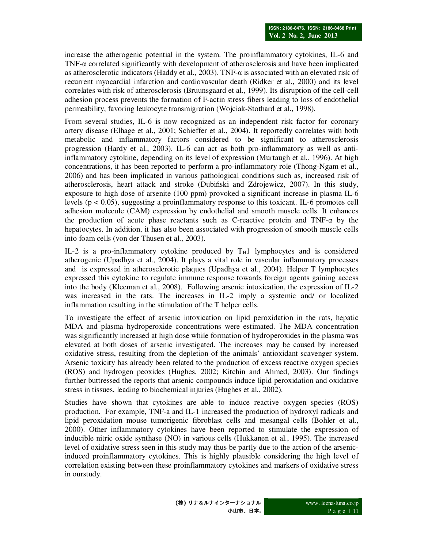increase the atherogenic potential in the system. The proinflammatory cytokines, IL-6 and TNF-α correlated significantly with development of atherosclerosis and have been implicated as atherosclerotic indicators (Haddy et al., 2003). TNF- $\alpha$  is associated with an elevated risk of recurrent myocardial infarction and cardiovascular death (Ridker et al., 2000) and its level correlates with risk of atherosclerosis (Bruunsgaard et al., 1999). Its disruption of the cell-cell adhesion process prevents the formation of F-actin stress fibers leading to loss of endothelial permeability, favoring leukocyte transmigration (Wojciak-Stothard et al., 1998).

From several studies, IL-6 is now recognized as an independent risk factor for coronary artery disease (Elhage et al., 2001; Schieffer et al., 2004). It reportedly correlates with both metabolic and inflammatory factors considered to be significant to atherosclerosis progression (Hardy et al., 2003). IL-6 can act as both pro-inflammatory as well as antiinflammatory cytokine, depending on its level of expression (Murtaugh et al., 1996). At high concentrations, it has been reported to perform a pro-inflammatory role (Thong-Ngam et al., 2006) and has been implicated in various pathological conditions such as, increased risk of atherosclerosis, heart attack and stroke (Dubiński and Zdrojewicz, 2007). In this study, exposure to high dose of arsenite (100 ppm) provoked a significant increase in plasma IL-6 levels (p < 0.05), suggesting a proinflammatory response to this toxicant. IL-6 promotes cell adhesion molecule (CAM) expression by endothelial and smooth muscle cells. It enhances the production of acute phase reactants such as C-reactive protein and TNF- $\alpha$  by the hepatocytes. In addition, it has also been associated with progression of smooth muscle cells into foam cells (von der Thusen et al., 2003).

IL-2 is a pro-inflammatory cytokine produced by  $T_H1$  lymphocytes and is considered atherogenic (Upadhya et al., 2004). It plays a vital role in vascular inflammatory processes and is expressed in atherosclerotic plaques (Upadhya et al., 2004). Helper T lymphocytes expressed this cytokine to regulate immune response towards foreign agents gaining access into the body (Kleeman et al., 2008). Following arsenic intoxication, the expression of IL-2 was increased in the rats. The increases in IL-2 imply a systemic and/ or localized inflammation resulting in the stimulation of the T helper cells.

To investigate the effect of arsenic intoxication on lipid peroxidation in the rats, hepatic MDA and plasma hydroperoxide concentrations were estimated. The MDA concentration was significantly increased at high dose while formation of hydroperoxides in the plasma was elevated at both doses of arsenic investigated. The increases may be caused by increased oxidative stress, resulting from the depletion of the animals' antioxidant scavenger system. Arsenic toxicity has already been related to the production of excess reactive oxygen species (ROS) and hydrogen peoxides (Hughes, 2002; Kitchin and Ahmed, 2003). Our findings further buttressed the reports that arsenic compounds induce lipid peroxidation and oxidative stress in tissues, leading to biochemical injuries (Hughes et al., 2002).

Studies have shown that cytokines are able to induce reactive oxygen species (ROS) production. For example, TNF-a and IL-1 increased the production of hydroxyl radicals and lipid peroxidation mouse tumorigenic fibroblast cells and mesangal cells (Bohler et al., 2000). Other inflammatory cytokines have been reported to stimulate the expression of inducible nitric oxide synthase (NO) in various cells (Hukkanen et al., 1995). The increased level of oxidative stress seen in this study may thus be partly due to the action of the arsenicinduced proinflammatory cytokines. This is highly plausible considering the high level of correlation existing between these proinflammatory cytokines and markers of oxidative stress in ourstudy.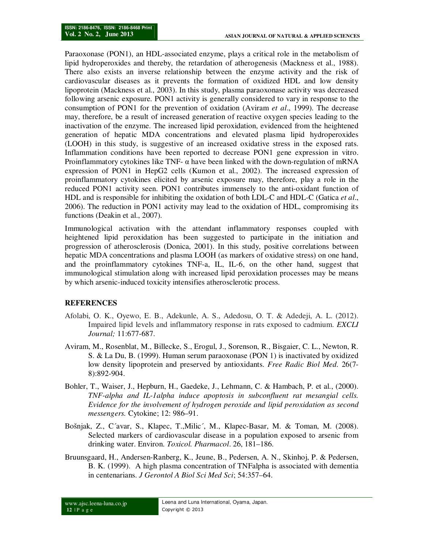Paraoxonase (PON1), an HDL-associated enzyme, plays a critical role in the metabolism of lipid hydroperoxides and thereby, the retardation of atherogenesis (Mackness et al., 1988). There also exists an inverse relationship between the enzyme activity and the risk of cardiovascular diseases as it prevents the formation of oxidized HDL and low density lipoprotein (Mackness et al., 2003). In this study, plasma paraoxonase activity was decreased following arsenic exposure. PON1 activity is generally considered to vary in response to the consumption of PON1 for the prevention of oxidation (Aviram *et al*., 1999). The decrease may, therefore, be a result of increased generation of reactive oxygen species leading to the inactivation of the enzyme. The increased lipid peroxidation, evidenced from the heightened generation of hepatic MDA concentrations and elevated plasma lipid hydroperoxides (LOOH) in this study, is suggestive of an increased oxidative stress in the exposed rats. Inflammation conditions have been reported to decrease PON1 gene expression in vitro. Proinflammatory cytokines like TNF-  $\alpha$  have been linked with the down-regulation of mRNA expression of PON1 in HepG2 cells (Kumon et al., 2002). The increased expression of proinflammatory cytokines elicited by arsenic exposure may, therefore, play a role in the reduced PON1 activity seen. PON1 contributes immensely to the anti-oxidant function of HDL and is responsible for inhibiting the oxidation of both LDL-C and HDL-C (Gatica *et al*., 2006). The reduction in PON1 activity may lead to the oxidation of HDL, compromising its functions (Deakin et al., 2007).

Immunological activation with the attendant inflammatory responses coupled with heightened lipid peroxidation has been suggested to participate in the initiation and progression of atherosclerosis (Donica, 2001). In this study, positive correlations between hepatic MDA concentrations and plasma LOOH (as markers of oxidative stress) on one hand, and the proinflammatory cytokines TNF-a, IL, IL-6, on the other hand, suggest that immunological stimulation along with increased lipid peroxidation processes may be means by which arsenic-induced toxicity intensifies atherosclerotic process.

#### **REFERENCES**

- Afolabi, O. K., Oyewo, E. B., Adekunle, A. S., Adedosu, O. T. & Adedeji, A. L. (2012). Impaired lipid levels and inflammatory response in rats exposed to cadmium. *EXCLI Journal;* 11:677-687.
- Aviram, M., Rosenblat, M., Billecke, S., Erogul, J., Sorenson, R., Bisgaier, C. L., Newton, R. S. & La Du, B. (1999). Human serum paraoxonase (PON 1) is inactivated by oxidized low density lipoprotein and preserved by antioxidants. *Free Radic Biol Med.* 26(7- 8):892-904.
- Bohler, T., Waiser, J., Hepburn, H., Gaedeke, J., Lehmann, C. & Hambach, P. et al., (2000). *TNF-alpha and IL-1alpha induce apoptosis in subconfluent rat mesangial cells. Evidence for the involvement of hydrogen peroxide and lipid peroxidation as second messengers.* Cytokine; 12: 986–91.
- Bošnjak, Z., C´avar, S., Klapec, T.,Milic´, M., Klapec-Basar, M. & Toman, M. (2008). Selected markers of cardiovascular disease in a population exposed to arsenic from drinking water. Environ. *Toxicol. Pharmacol*. 26, 181–186.
- Bruunsgaard, H., Andersen-Ranberg, K., Jeune, B., Pedersen, A. N., Skinhoj, P. & Pedersen, B. K. (1999). A high plasma concentration of TNFalpha is associated with dementia in centenarians. *J Gerontol A Biol Sci Med Sci*; 54:357–64.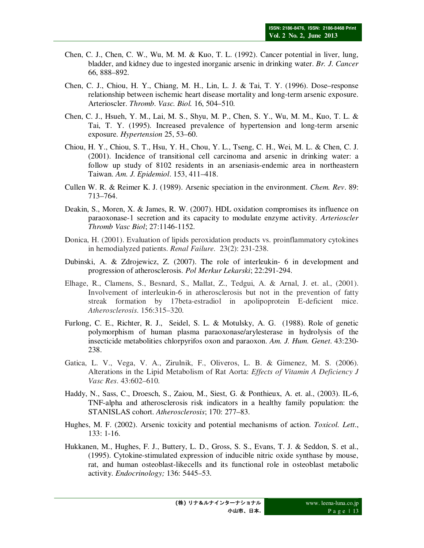- Chen, C. J., Chen, C. W., Wu, M. M. & Kuo, T. L. (1992). Cancer potential in liver, lung, bladder, and kidney due to ingested inorganic arsenic in drinking water. *Br. J. Cancer*  66, 888–892.
- Chen, C. J., Chiou, H. Y., Chiang, M. H., Lin, L. J. & Tai, T. Y. (1996). Dose–response relationship between ischemic heart disease mortality and long-term arsenic exposure. Arterioscler. *Thromb. Vasc. Biol.* 16, 504–510.
- Chen, C. J., Hsueh, Y. M., Lai, M. S., Shyu, M. P., Chen, S. Y., Wu, M. M., Kuo, T. L. & Tai, T. Y. (1995). Increased prevalence of hypertension and long-term arsenic exposure. *Hypertension* 25, 53–60.
- Chiou, H. Y., Chiou, S. T., Hsu, Y. H., Chou, Y. L., Tseng, C. H., Wei, M. L. & Chen, C. J. (2001). Incidence of transitional cell carcinoma and arsenic in drinking water: a follow up study of 8102 residents in an arseniasis-endemic area in northeastern Taiwan. *Am. J. Epidemiol*. 153, 411–418.
- Cullen W. R. & Reimer K. J. (1989). Arsenic speciation in the environment. *Chem. Rev*. 89: 713–764.
- Deakin, S., Moren, X. & James, R. W. (2007). HDL oxidation compromises its influence on paraoxonase-1 secretion and its capacity to modulate enzyme activity. *Arterioscler Thromb Vasc Biol*; 27:1146-1152.
- Donica, H. (2001). Evaluation of lipids peroxidation products vs. proinflammatory cytokines in hemodialyzed patients. *Renal Failure.* 23(2): 231-238.
- Dubinski, A. & Zdrojewicz, Z. (2007). The role of interleukin- 6 in development and progression of atherosclerosis. *Pol Merkur Lekarski*; 22:291-294.
- Elhage, R., Clamens, S., Besnard, S., Mallat, Z., Tedgui, A. & Arnal, J. et. al., (2001). Involvement of interleukin-6 in atherosclerosis but not in the prevention of fatty streak formation by 17beta-estradiol in apolipoprotein E-deficient mice. *Atherosclerosis*. 156:315–320.
- Furlong, C. E., Richter, R. J., Seidel, S. L. & Motulsky, A. G. (1988). Role of genetic polymorphism of human plasma paraoxonase/arylesterase in hydrolysis of the insecticide metabolities chlorpyrifos oxon and paraoxon. *Am. J. Hum. Genet*. 43:230- 238.
- Gatica, L. V., Vega, V. A., Zirulnik, F., Oliveros, L. B. & Gimenez, M. S. (2006). Alterations in the Lipid Metabolism of Rat Aorta: *Effects of Vitamin A Deficiency J Vasc Res*. 43:602–610.
- Haddy, N., Sass, C., Droesch, S., Zaiou, M., Siest, G. & Ponthieux, A. et. al., (2003). IL-6, TNF-alpha and atherosclerosis risk indicators in a healthy family population: the STANISLAS cohort. *Atherosclerosis*; 170: 277–83.
- Hughes, M. F. (2002). Arsenic toxicity and potential mechanisms of action. *Toxicol. Lett*., 133: 1-16.
- Hukkanen, M., Hughes, F. J., Buttery, L. D., Gross, S. S., Evans, T. J. & Seddon, S. et al., (1995). Cytokine-stimulated expression of inducible nitric oxide synthase by mouse, rat, and human osteoblast-likecells and its functional role in osteoblast metabolic activity. *Endocrinology;* 136: 5445–53.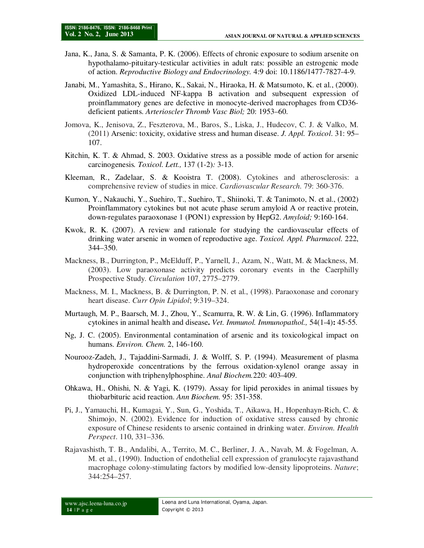- Jana, K., Jana, S. & Samanta, P. K. (2006). Effects of chronic exposure to sodium arsenite on hypothalamo-pituitary-testicular activities in adult rats: possible an estrogenic mode of action. *Reproductive Biology and Endocrinology.* 4:9 doi: 10.1186/1477-7827-4-9*.*
- Janabi, M., Yamashita, S., Hirano, K., Sakai, N., Hiraoka, H. & Matsumoto, K. et al., (2000). Oxidized LDL-induced NF-kappa B activation and subsequent expression of proinflammatory genes are defective in monocyte-derived macrophages from CD36 deficient patients. *Arterioscler Thromb Vasc Biol;* 20: 1953–60.
- Jomova, K., Jenisova, Z., Feszterova, M., Baros, S., Liska, J., Hudecov, C. J. & Valko, M. (2011) Arsenic: toxicity, oxidative stress and human disease. *J. Appl. Toxicol*. 31: 95– 107.
- Kitchin, K. T. & Ahmad, S. 2003. Oxidative stress as a possible mode of action for arsenic carcinogenesis*. Toxicol. Lett.,* 137 (1-2)*:* 3-13.
- Kleeman, R., Zadelaar, S. & Kooistra T. (2008). Cytokines and atherosclerosis: a comprehensive review of studies in mice. *Cardiovascular Research.* 79: 360-376.
- Kumon, Y., Nakauchi, Y., Suehiro, T., Suehiro, T., Shiinoki, T. & Tanimoto, N. et al., (2002) Proinflammatory cytokines but not acute phase serum amyloid A or reactive protein, down-regulates paraoxonase 1 (PON1) expression by HepG2. *Amyloid;* 9:160-164.
- Kwok, R. K. (2007). A review and rationale for studying the cardiovascular effects of drinking water arsenic in women of reproductive age. *Toxicol. Appl. Pharmacol.* 222, 344–350.
- Mackness, B., Durrington, P., McElduff, P., Yarnell, J., Azam, N., Watt, M. & Mackness, M. (2003). Low paraoxonase activity predicts coronary events in the Caerphilly Prospective Study. *Circulation* 107, 2775–2779.
- Mackness, M. I., Mackness, B. & Durrington, P. N. et al., (1998). Paraoxonase and coronary heart disease. *Curr Opin Lipidol*; 9:319–324.
- Murtaugh, M. P., Baarsch, M. J., Zhou, Y., Scamurra, R. W. & Lin, G. (1996). Inflammatory cytokines in animal health and disease**.** *Vet. Immunol. Immunopathol.,* 54(1-4)**:** 45-55.
- Ng, J. C. (2005). Environmental contamination of arsenic and its toxicological impact on humans. *Environ. Chem.* 2, 146-160.
- Nourooz-Zadeh, J., Tajaddini-Sarmadi, J. & Wolff, S. P. (1994). Measurement of plasma hydroperoxide concentrations by the ferrous oxidation-xylenol orange assay in conjunction with triphenylphosphine. *Anal Biochem.*220: 403-409.
- Ohkawa, H., Ohishi, N. & Yagi, K. (1979). Assay for lipid peroxides in animal tissues by thiobarbituric acid reaction. *Ann Biochem.* 95: 351-358.
- Pi, J., Yamauchi, H., Kumagai, Y., Sun, G., Yoshida, T., Aikawa, H., Hopenhayn-Rich, C. & Shimojo, N. (2002). Evidence for induction of oxidative stress caused by chronic exposure of Chinese residents to arsenic contained in drinking water. *Environ. Health Perspect*. 110, 331–336.
- Rajavashisth, T. B., Andalibi, A., Territo, M. C., Berliner, J. A., Navab, M. & Fogelman, A. M. et al., (1990). Induction of endothelial cell expression of granulocyte rajavasthand macrophage colony-stimulating factors by modified low-density lipoproteins. *Nature*; 344:254–257.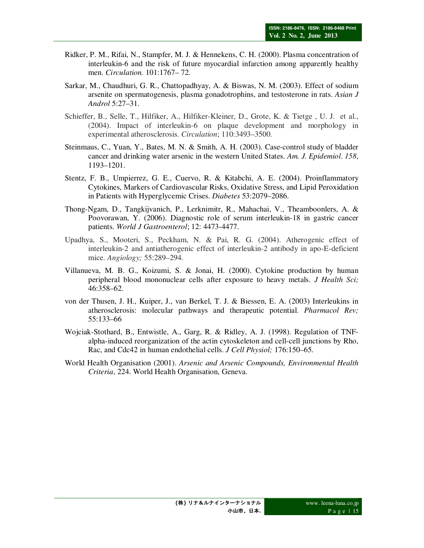- Ridker, P. M., Rifai, N., Stampfer, M. J. & Hennekens, C. H. (2000). Plasma concentration of interleukin-6 and the risk of future myocardial infarction among apparently healthy men. *Circulation.* 101:1767– 72.
- Sarkar, M., Chaudhuri, G. R., Chattopadhyay, A. & Biswas, N. M. (2003). Effect of sodium arsenite on spermatogenesis, plasma gonadotrophins, and testosterone in rats. *Asian J Androl* 5:27–31.
- Schieffer, B., Selle, T., Hilfiker, A., Hilfiker-Kleiner, D., Grote, K. & Tietge , U. J. et al., (2004). Impact of interleukin-6 on plaque development and morphology in experimental atherosclerosis. *Circulation*; 110:3493–3500.
- Steinmaus, C., Yuan, Y., Bates, M. N. & Smith, A. H. (2003). Case-control study of bladder cancer and drinking water arsenic in the western United States. *Am. J. Epidemiol*. *158*, 1193–1201.
- Stentz, F. B., Umpierrez, G. E., Cuervo, R. & Kitabchi, A. E. (2004). Proinflammatory Cytokines, Markers of Cardiovascular Risks, Oxidative Stress, and Lipid Peroxidation in Patients with Hyperglycemic Crises. *Diabetes* 53:2079–2086.
- Thong-Ngam, D., Tangkijvanich, P., Lerknimitr, R., Mahachai, V., Theamboonlers, A. & Poovorawan, Y. (2006). Diagnostic role of serum interleukin-18 in gastric cancer patients. *World J Gastroenterol*; 12: 4473-4477.
- Upadhya, S., Mooteri, S., Peckham, N. & Pai, R. G. (2004). Atherogenic effect of interleukin-2 and antiatherogenic effect of interleukin-2 antibody in apo-E-deficient mice. *Angiology;* 55:289–294.
- Villanueva, M. B. G., Koizumi, S. & Jonai, H. (2000). Cytokine production by human peripheral blood mononuclear cells after exposure to heavy metals. *J Health Sci;*  46:358–62.
- von der Thusen, J. H., Kuiper, J., van Berkel, T. J. & Biessen, E. A. (2003) Interleukins in atherosclerosis: molecular pathways and therapeutic potential. *Pharmacol Rev;* 55:133–66
- Wojciak-Stothard, B., Entwistle, A., Garg, R. & Ridley, A. J. (1998). Regulation of TNFalpha-induced reorganization of the actin cytoskeleton and cell-cell junctions by Rho, Rac, and Cdc42 in human endothelial cells. *J Cell Physiol;* 176:150–65.
- World Health Organisation (2001). *Arsenic and Arsenic Compounds, Environmental Health Criteria*, 224. World Health Organisation, Geneva.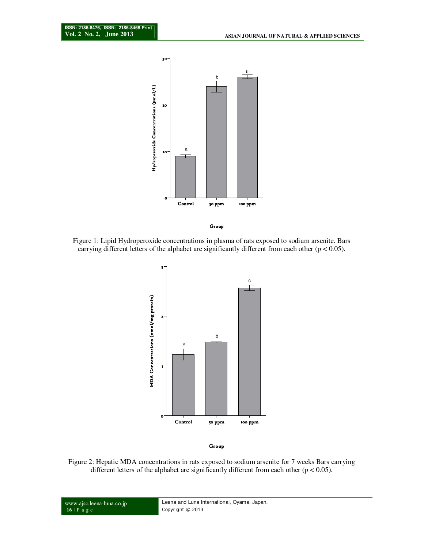

Figure 1: Lipid Hydroperoxide concentrations in plasma of rats exposed to sodium arsenite. Bars carrying different letters of the alphabet are significantly different from each other ( $p < 0.05$ ).



Figure 2: Hepatic MDA concentrations in rats exposed to sodium arsenite for 7 weeks Bars carrying different letters of the alphabet are significantly different from each other  $(p < 0.05)$ .

www.ajsc.leena-luna.co.jp **16** | P a g e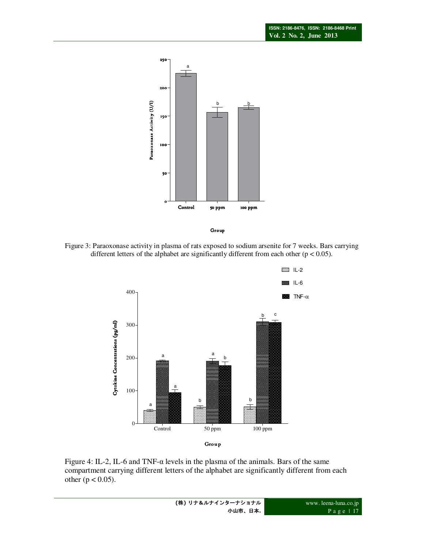



Figure 3: Paraoxonase activity in plasma of rats exposed to sodium arsenite for 7 weeks. Bars carrying different letters of the alphabet are significantly different from each other  $(p < 0.05)$ .